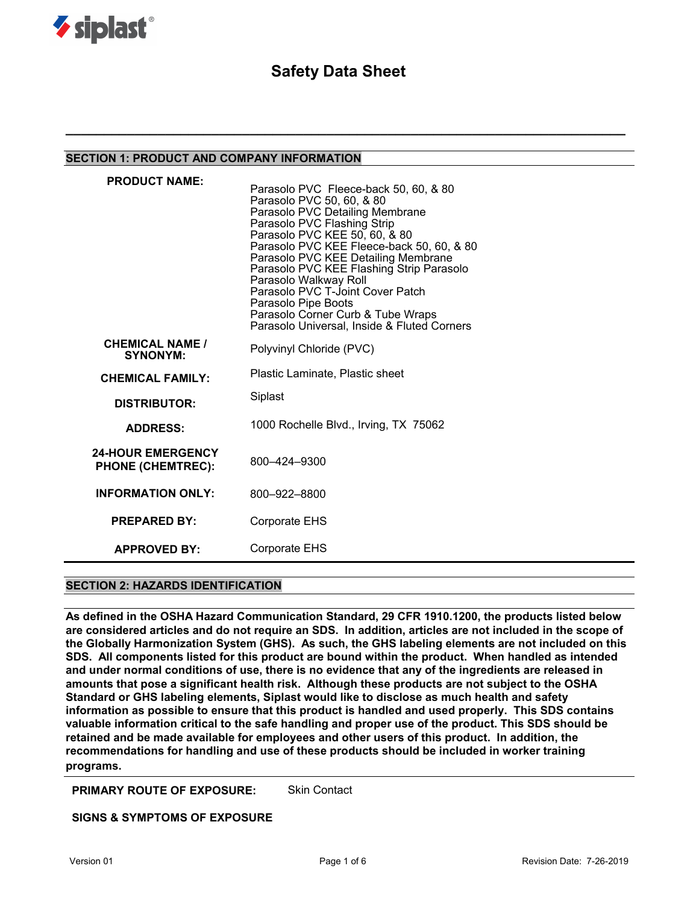

# **Safety Data Sheet**

**\_\_\_\_\_\_\_\_\_\_\_\_\_\_\_\_\_\_\_\_\_\_\_\_\_\_\_\_\_\_\_\_\_\_\_\_\_\_\_\_\_\_\_\_\_\_\_\_\_\_\_\_\_\_\_\_\_\_\_\_\_\_\_\_\_\_\_\_\_\_\_\_\_**

### **SECTION 1: PRODUCT AND COMPANY INFORMATION**

| <b>PRODUCT NAME:</b>                                 | Parasolo PVC Fleece-back 50, 60, & 80<br>Parasolo PVC 50, 60, & 80<br>Parasolo PVC Detailing Membrane<br>Parasolo PVC Flashing Strip<br>Parasolo PVC KEE 50, 60, & 80<br>Parasolo PVC KEE Fleece-back 50, 60, & 80<br>Parasolo PVC KEE Detailing Membrane<br>Parasolo PVC KEE Flashing Strip Parasolo<br>Parasolo Walkway Roll<br>Parasolo PVC T-Joint Cover Patch<br>Parasolo Pipe Boots<br>Parasolo Corner Curb & Tube Wraps<br>Parasolo Universal, Inside & Fluted Corners |
|------------------------------------------------------|-------------------------------------------------------------------------------------------------------------------------------------------------------------------------------------------------------------------------------------------------------------------------------------------------------------------------------------------------------------------------------------------------------------------------------------------------------------------------------|
| <b>CHEMICAL NAME /</b><br><b>SYNONYM:</b>            | Polyvinyl Chloride (PVC)                                                                                                                                                                                                                                                                                                                                                                                                                                                      |
| <b>CHEMICAL FAMILY:</b>                              | Plastic Laminate, Plastic sheet                                                                                                                                                                                                                                                                                                                                                                                                                                               |
| <b>DISTRIBUTOR:</b>                                  | Siplast                                                                                                                                                                                                                                                                                                                                                                                                                                                                       |
| <b>ADDRESS:</b>                                      | 1000 Rochelle Blvd., Irving, TX 75062                                                                                                                                                                                                                                                                                                                                                                                                                                         |
| <b>24-HOUR EMERGENCY</b><br><b>PHONE (CHEMTREC):</b> | 800-424-9300                                                                                                                                                                                                                                                                                                                                                                                                                                                                  |
| <b>INFORMATION ONLY:</b>                             | 800-922-8800                                                                                                                                                                                                                                                                                                                                                                                                                                                                  |
| <b>PREPARED BY:</b>                                  | Corporate EHS                                                                                                                                                                                                                                                                                                                                                                                                                                                                 |
| <b>APPROVED BY:</b>                                  | Corporate EHS                                                                                                                                                                                                                                                                                                                                                                                                                                                                 |

## **SECTION 2: HAZARDS IDENTIFICATION**

**As defined in the OSHA Hazard Communication Standard, 29 CFR 1910.1200, the products listed below are considered articles and do not require an SDS. In addition, articles are not included in the scope of the Globally Harmonization System (GHS). As such, the GHS labeling elements are not included on this SDS. All components listed for this product are bound within the product. When handled as intended and under normal conditions of use, there is no evidence that any of the ingredients are released in amounts that pose a significant health risk. Although these products are not subject to the OSHA Standard or GHS labeling elements, Siplast would like to disclose as much health and safety information as possible to ensure that this product is handled and used properly. This SDS contains valuable information critical to the safe handling and proper use of the product. This SDS should be retained and be made available for employees and other users of this product. In addition, the recommendations for handling and use of these products should be included in worker training programs.** 

**PRIMARY ROUTE OF EXPOSURE:** Skin Contact

**SIGNS & SYMPTOMS OF EXPOSURE**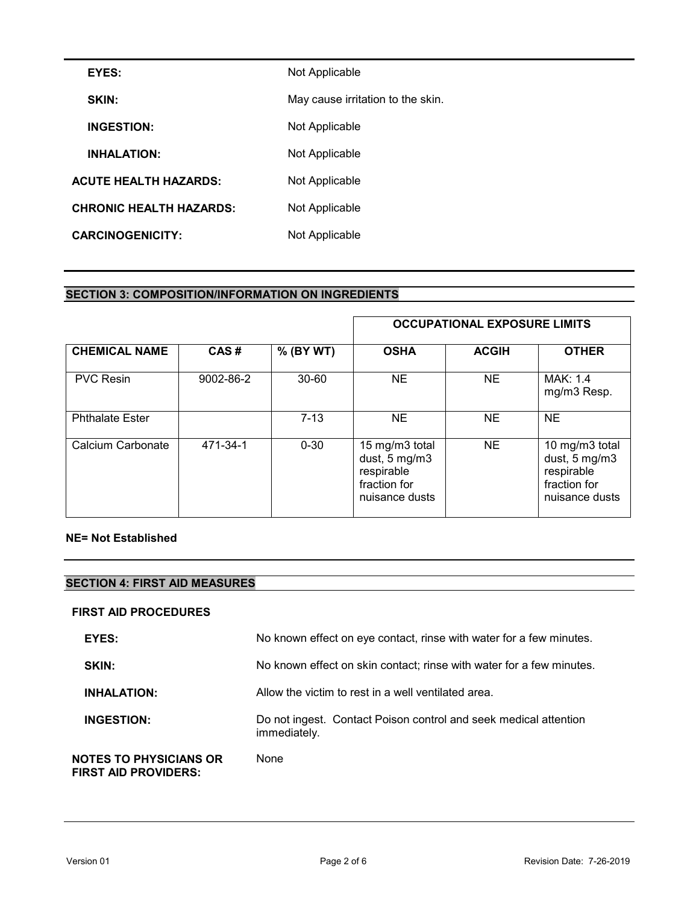| EYES:                          | Not Applicable                    |
|--------------------------------|-----------------------------------|
| SKIN:                          | May cause irritation to the skin. |
| <b>INGESTION:</b>              | Not Applicable                    |
| <b>INHALATION:</b>             | Not Applicable                    |
| <b>ACUTE HEALTH HAZARDS:</b>   | Not Applicable                    |
| <b>CHRONIC HEALTH HAZARDS:</b> | Not Applicable                    |
| <b>CARCINOGENICITY:</b>        | Not Applicable                    |

# **SECTION 3: COMPOSITION/INFORMATION ON INGREDIENTS**

|                        |           |           |                                                                                 | <b>OCCUPATIONAL EXPOSURE LIMITS</b> |                                                                                 |
|------------------------|-----------|-----------|---------------------------------------------------------------------------------|-------------------------------------|---------------------------------------------------------------------------------|
| <b>CHEMICAL NAME</b>   | CAS#      | % (BY WT) | <b>OSHA</b>                                                                     | <b>ACGIH</b>                        | <b>OTHER</b>                                                                    |
| <b>PVC Resin</b>       | 9002-86-2 | $30 - 60$ | <b>NE</b>                                                                       | NE.                                 | MAK: 1.4<br>mg/m3 Resp.                                                         |
| <b>Phthalate Ester</b> |           | $7 - 13$  | NE.                                                                             | NE.                                 | <b>NE</b>                                                                       |
| Calcium Carbonate      | 471-34-1  | $0 - 30$  | 15 mg/m3 total<br>dust, 5 mg/m3<br>respirable<br>fraction for<br>nuisance dusts | NE.                                 | 10 mg/m3 total<br>dust, 5 mg/m3<br>respirable<br>fraction for<br>nuisance dusts |

### **NE= Not Established**

## **SECTION 4: FIRST AID MEASURES**

### **FIRST AID PROCEDURES**

| EYES:                                                 | No known effect on eye contact, rinse with water for a few minutes.              |
|-------------------------------------------------------|----------------------------------------------------------------------------------|
| <b>SKIN:</b>                                          | No known effect on skin contact; rinse with water for a few minutes.             |
| <b>INHALATION:</b>                                    | Allow the victim to rest in a well ventilated area.                              |
| <b>INGESTION:</b>                                     | Do not ingest. Contact Poison control and seek medical attention<br>immediately. |
| <b>NOTES TO PHYSICIANS OR</b><br>FIRST AID PROVIDERS: | None                                                                             |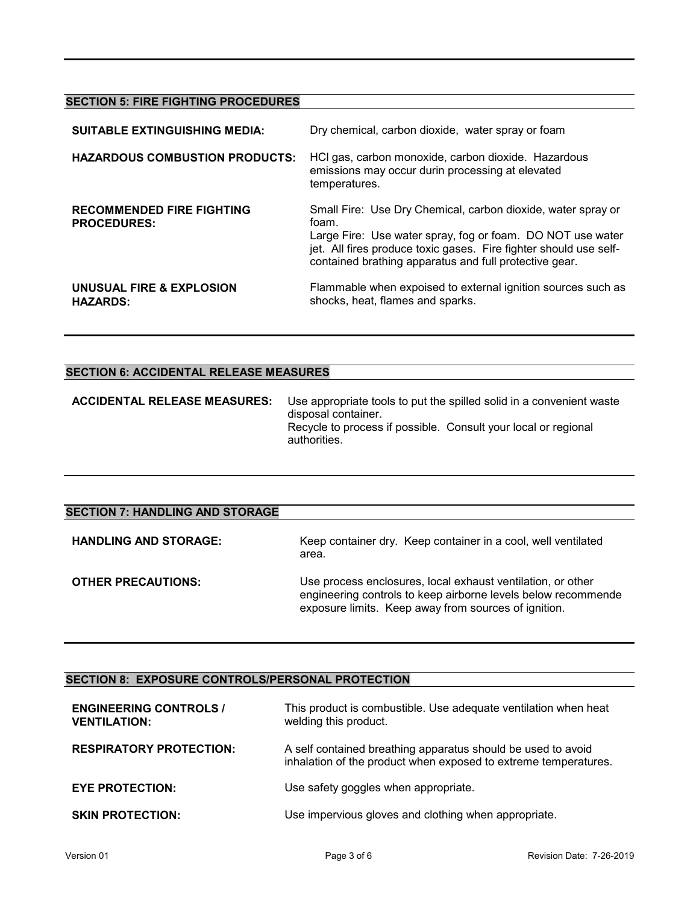## **SECTION 5: FIRE FIGHTING PROCEDURES**

| <b>SUITABLE EXTINGUISHING MEDIA:</b>                   | Dry chemical, carbon dioxide, water spray or foam                                                                                                                                                                                                                  |
|--------------------------------------------------------|--------------------------------------------------------------------------------------------------------------------------------------------------------------------------------------------------------------------------------------------------------------------|
| <b>HAZARDOUS COMBUSTION PRODUCTS:</b>                  | HCl gas, carbon monoxide, carbon dioxide. Hazardous<br>emissions may occur durin processing at elevated<br>temperatures.                                                                                                                                           |
| <b>RECOMMENDED FIRE FIGHTING</b><br><b>PROCEDURES:</b> | Small Fire: Use Dry Chemical, carbon dioxide, water spray or<br>foam.<br>Large Fire: Use water spray, fog or foam. DO NOT use water<br>jet. All fires produce toxic gases. Fire fighter should use self-<br>contained brathing apparatus and full protective gear. |
| UNUSUAL FIRE & EXPLOSION<br><b>HAZARDS:</b>            | Flammable when expoised to external ignition sources such as<br>shocks, heat, flames and sparks.                                                                                                                                                                   |

# **SECTION 6: ACCIDENTAL RELEASE MEASURES**

| <b>SECTION 7: HANDLING AND STORAGE</b> |                                                                                                                                                                                      |
|----------------------------------------|--------------------------------------------------------------------------------------------------------------------------------------------------------------------------------------|
| <b>HANDLING AND STORAGE:</b>           | Keep container dry. Keep container in a cool, well ventilated<br>area.                                                                                                               |
| <b>OTHER PRECAUTIONS:</b>              | Use process enclosures, local exhaust ventilation, or other<br>engineering controls to keep airborne levels below recommende<br>exposure limits. Keep away from sources of ignition. |

## **SECTION 8: EXPOSURE CONTROLS/PERSONAL PROTECTION**

| <b>ENGINEERING CONTROLS /</b><br><b>VENTILATION:</b> | This product is combustible. Use adequate ventilation when heat<br>welding this product.                                        |
|------------------------------------------------------|---------------------------------------------------------------------------------------------------------------------------------|
| <b>RESPIRATORY PROTECTION:</b>                       | A self contained breathing apparatus should be used to avoid<br>inhalation of the product when exposed to extreme temperatures. |
| <b>EYE PROTECTION:</b>                               | Use safety goggles when appropriate.                                                                                            |
| <b>SKIN PROTECTION:</b>                              | Use impervious gloves and clothing when appropriate.                                                                            |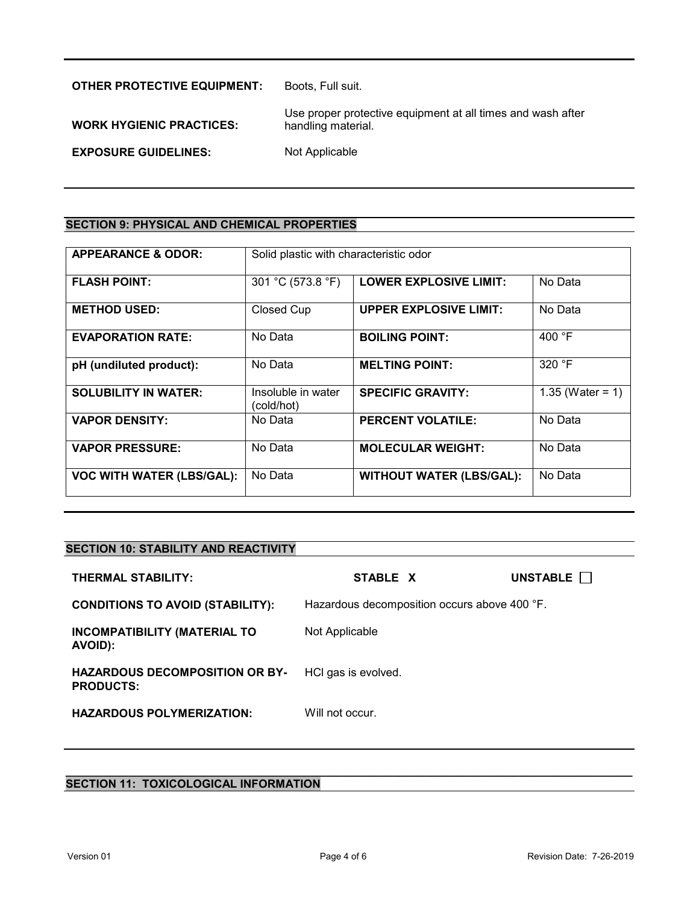| <b>OTHER PROTECTIVE EQUIPMENT:</b> | Boots, Full suit.                                                                 |
|------------------------------------|-----------------------------------------------------------------------------------|
| <b>WORK HYGIENIC PRACTICES:</b>    | Use proper protective equipment at all times and wash after<br>handling material. |
| <b>EXPOSURE GUIDELINES:</b>        | Not Applicable                                                                    |

# **SECTION 9: PHYSICAL AND CHEMICAL PROPERTIES**

| <b>APPEARANCE &amp; ODOR:</b>    | Solid plastic with characteristic odor |                                 |                     |
|----------------------------------|----------------------------------------|---------------------------------|---------------------|
| <b>FLASH POINT:</b>              | 301 °C (573.8 °F)                      | <b>LOWER EXPLOSIVE LIMIT:</b>   | No Data             |
| <b>METHOD USED:</b>              | Closed Cup                             | <b>UPPER EXPLOSIVE LIMIT:</b>   | No Data             |
| <b>EVAPORATION RATE:</b>         | No Data                                | <b>BOILING POINT:</b>           | 400 °F              |
| pH (undiluted product):          | No Data                                | <b>MELTING POINT:</b>           | $320$ °F            |
| <b>SOLUBILITY IN WATER:</b>      | Insoluble in water<br>(cold/hot)       | <b>SPECIFIC GRAVITY:</b>        | 1.35 (Water = $1$ ) |
| <b>VAPOR DENSITY:</b>            | No Data                                | <b>PERCENT VOLATILE:</b>        | No Data             |
| <b>VAPOR PRESSURE:</b>           | No Data                                | <b>MOLECULAR WEIGHT:</b>        | No Data             |
| <b>VOC WITH WATER (LBS/GAL):</b> | No Data                                | <b>WITHOUT WATER (LBS/GAL):</b> | No Data             |

# **SECTION 10: STABILITY AND REACTIVITY**

| <b>THERMAL STABILITY:</b>                                 | STABLE X                                     | UNSTABLE |
|-----------------------------------------------------------|----------------------------------------------|----------|
| <b>CONDITIONS TO AVOID (STABILITY):</b>                   | Hazardous decomposition occurs above 400 °F. |          |
| <b>INCOMPATIBILITY (MATERIAL TO</b><br>AVOID):            | Not Applicable                               |          |
| <b>HAZARDOUS DECOMPOSITION OR BY-</b><br><b>PRODUCTS:</b> | HCI gas is evolved.                          |          |
| <b>HAZARDOUS POLYMERIZATION:</b>                          | Will not occur.                              |          |

#### **\_\_\_\_\_\_\_\_\_\_\_\_\_\_\_\_\_\_\_\_\_\_\_\_\_\_\_\_\_\_\_\_\_\_\_\_\_\_\_\_\_\_\_\_\_\_\_\_\_\_\_\_\_\_\_\_\_\_\_\_\_\_\_\_\_\_\_\_\_\_\_\_\_\_\_\_\_\_\_\_\_\_\_\_\_\_\_\_\_\_ SECTION 11: TOXICOLOGICAL INFORMATION**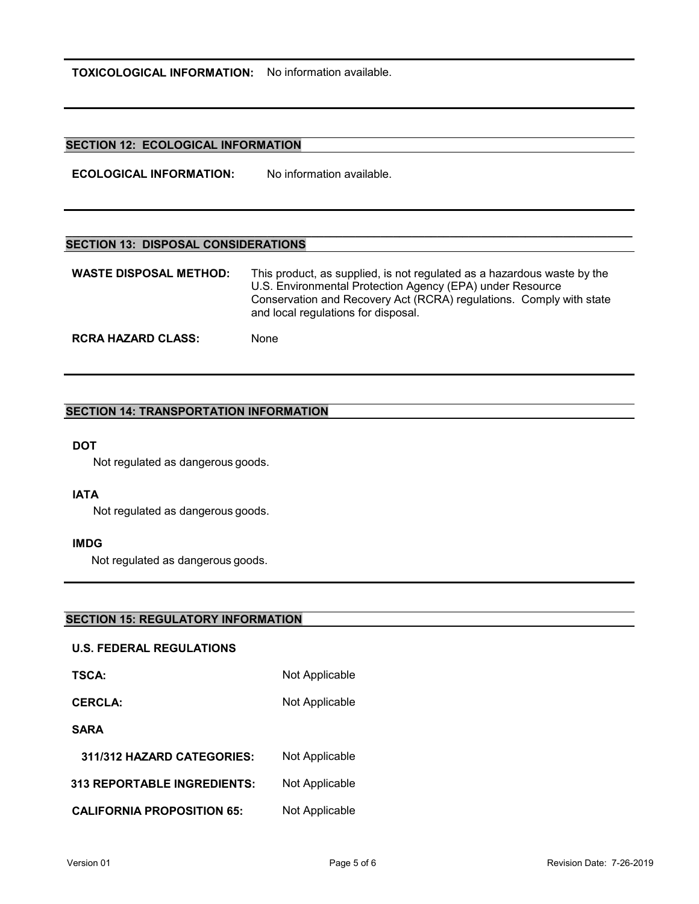**TOXICOLOGICAL INFORMATION:** No information available.

## **SECTION 12: ECOLOGICAL INFORMATION**

**ECOLOGICAL INFORMATION:** No information available.

## **SECTION 13: DISPOSAL CONSIDERATIONS**

| <b>WASTE DISPOSAL METHOD:</b> | This product, as supplied, is not regulated as a hazardous waste by the<br>U.S. Environmental Protection Agency (EPA) under Resource<br>Conservation and Recovery Act (RCRA) regulations. Comply with state<br>and local regulations for disposal. |
|-------------------------------|----------------------------------------------------------------------------------------------------------------------------------------------------------------------------------------------------------------------------------------------------|
| <b>RCRA HAZARD CLASS:</b>     | None                                                                                                                                                                                                                                               |

**\_\_\_\_\_\_\_\_\_\_\_\_\_\_\_\_\_\_\_\_\_\_\_\_\_\_\_\_\_\_\_\_\_\_\_\_\_\_\_\_\_\_\_\_\_\_\_\_\_\_\_\_\_\_\_\_\_\_\_\_\_\_\_\_\_\_\_\_\_\_\_\_\_\_\_\_\_\_\_\_\_\_\_\_\_\_\_\_\_\_** 

## **SECTION 14: TRANSPORTATION INFORMATION**

## **DOT**

Not regulated as dangerous goods.

### **IATA**

Not regulated as dangerous goods.

### **IMDG**

Not regulated as dangerous goods.

### **SECTION 15: REGULATORY INFORMATION**

#### **U.S. FEDERAL REGULATIONS**

| <b>TSCA:</b>                       | Not Applicable |
|------------------------------------|----------------|
| <b>CERCLA:</b>                     | Not Applicable |
| <b>SARA</b>                        |                |
| 311/312 HAZARD CATEGORIES:         | Not Applicable |
| <b>313 REPORTABLE INGREDIENTS:</b> | Not Applicable |
|                                    |                |

**CALIFORNIA PROPOSITION 65:** Not Applicable